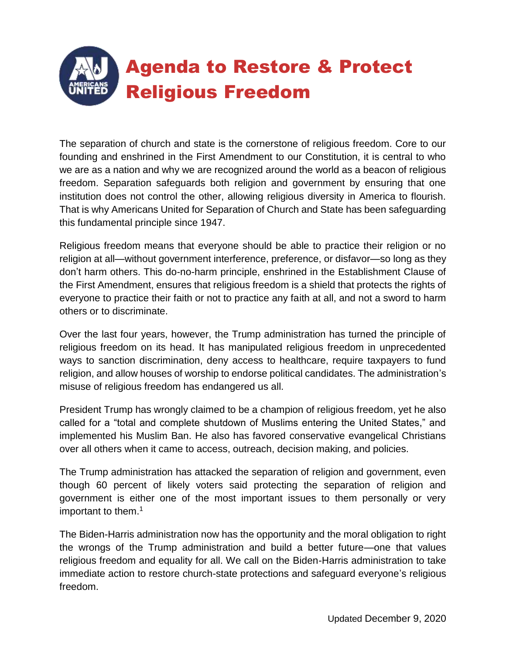

The separation of church and state is the cornerstone of religious freedom. Core to our founding and enshrined in the First Amendment to our Constitution, it is central to who we are as a nation and why we are recognized around the world as a beacon of religious freedom. Separation safeguards both religion and government by ensuring that one institution does not control the other, allowing religious diversity in America to flourish. That is why Americans United for Separation of Church and State has been safeguarding this fundamental principle since 1947.

Religious freedom means that everyone should be able to practice their religion or no religion at all—without government interference, preference, or disfavor—so long as they don't harm others. This do-no-harm principle, enshrined in the Establishment Clause of the First Amendment, ensures that religious freedom is a shield that protects the rights of everyone to practice their faith or not to practice any faith at all, and not a sword to harm others or to discriminate.

Over the last four years, however, the Trump administration has turned the principle of religious freedom on its head. It has manipulated religious freedom in unprecedented ways to sanction discrimination, deny access to healthcare, require taxpayers to fund religion, and allow houses of worship to endorse political candidates. The administration's misuse of religious freedom has endangered us all.

President Trump has wrongly claimed to be a champion of religious freedom, yet he also called for a "total and complete shutdown of Muslims entering the United States," and implemented his Muslim Ban. He also has favored conservative evangelical Christians over all others when it came to access, outreach, decision making, and policies.

The Trump administration has attacked the separation of religion and government, even though 60 percent of likely voters said protecting the separation of religion and government is either one of the most important issues to them personally or very important to them. $<sup>1</sup>$ </sup>

The Biden-Harris administration now has the opportunity and the moral obligation to right the wrongs of the Trump administration and build a better future—one that values religious freedom and equality for all. We call on the Biden-Harris administration to take immediate action to restore church-state protections and safeguard everyone's religious freedom.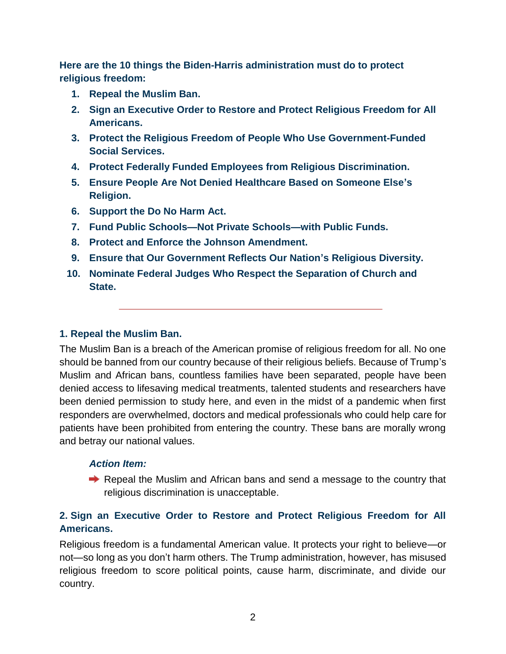**Here are the 10 things the Biden-Harris administration must do to protect religious freedom:**

- **1. Repeal the Muslim Ban.**
- **2. Sign an Executive Order to Restore and Protect Religious Freedom for All Americans.**
- **3. Protect the Religious Freedom of People Who Use Government-Funded Social Services.**
- **4. Protect Federally Funded Employees from Religious Discrimination.**
- **5. Ensure People Are Not Denied Healthcare Based on Someone Else's Religion.**
- **6. Support the Do No Harm Act.**
- **7. Fund Public Schools—Not Private Schools—with Public Funds.**
- **8. Protect and Enforce the Johnson Amendment.**
- **9. Ensure that Our Government Reflects Our Nation's Religious Diversity.**
- **10. Nominate Federal Judges Who Respect the Separation of Church and State.**

## **1. Repeal the Muslim Ban.**

The Muslim Ban is a breach of the American promise of religious freedom for all. No one should be banned from our country because of their religious beliefs. Because of Trump's Muslim and African bans, countless families have been separated, people have been denied access to lifesaving medical treatments, talented students and researchers have been denied permission to study here, and even in the midst of a pandemic when first responders are overwhelmed, doctors and medical professionals who could help care for patients have been prohibited from entering the country. These bans are morally wrong and betray our national values.

## *Action Item:*

Repeal the Muslim and African bans and send a message to the country that religious discrimination is unacceptable.

## **2. Sign an Executive Order to Restore and Protect Religious Freedom for All Americans.**

Religious freedom is a fundamental American value. It protects your right to believe—or not—so long as you don't harm others. The Trump administration, however, has misused religious freedom to score political points, cause harm, discriminate, and divide our country.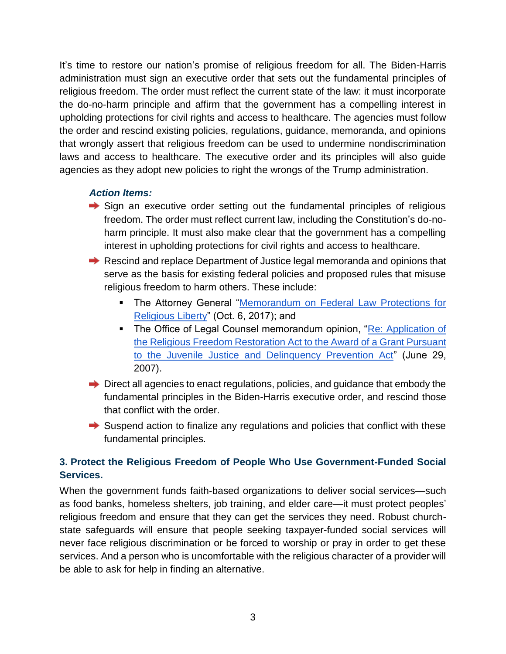It's time to restore our nation's promise of religious freedom for all. The Biden-Harris administration must sign an executive order that sets out the fundamental principles of religious freedom. The order must reflect the current state of the law: it must incorporate the do-no-harm principle and affirm that the government has a compelling interest in upholding protections for civil rights and access to healthcare. The agencies must follow the order and rescind existing policies, regulations, guidance, memoranda, and opinions that wrongly assert that religious freedom can be used to undermine nondiscrimination laws and access to healthcare. The executive order and its principles will also guide agencies as they adopt new policies to right the wrongs of the Trump administration.

#### *Action Items:*

- $\rightarrow$  Sign an executive order setting out the fundamental principles of religious freedom. The order must reflect current law, including the Constitution's do-noharm principle. It must also make clear that the government has a compelling interest in upholding protections for civil rights and access to healthcare.
- Rescind and replace Department of Justice legal memoranda and opinions that serve as the basis for existing federal policies and proposed rules that misuse religious freedom to harm others. These include:
	- **The Attorney General "Memorandum on Federal Law Protections for** [Religious Liberty"](https://www.justice.gov/opa/press-release/file/1001891/download) (Oct. 6, 2017); and
	- The Office of Legal Counsel memorandum opinion, "Re: Application of [the Religious Freedom Restoration Act to the Award of a Grant Pursuant](https://www.justice.gov/file/451561/download)  [to the Juvenile Justice and Delinquency Prevention Act"](https://www.justice.gov/file/451561/download) (June 29, 2007).
- **→** Direct all agencies to enact regulations, policies, and guidance that embody the fundamental principles in the Biden-Harris executive order, and rescind those that conflict with the order.
- $\rightarrow$  Suspend action to finalize any regulations and policies that conflict with these fundamental principles.

## **3. Protect the Religious Freedom of People Who Use Government-Funded Social Services.**

When the government funds faith-based organizations to deliver social services—such as food banks, homeless shelters, job training, and elder care—it must protect peoples' religious freedom and ensure that they can get the services they need. Robust churchstate safeguards will ensure that people seeking taxpayer-funded social services will never face religious discrimination or be forced to worship or pray in order to get these services. And a person who is uncomfortable with the religious character of a provider will be able to ask for help in finding an alternative.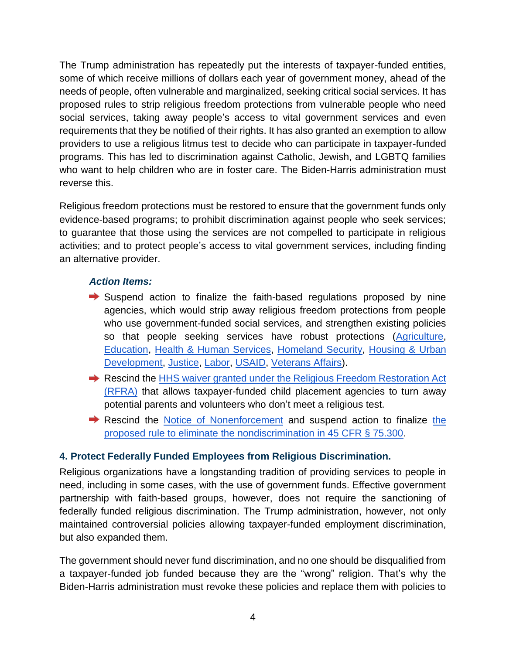The Trump administration has repeatedly put the interests of taxpayer-funded entities, some of which receive millions of dollars each year of government money, ahead of the needs of people, often vulnerable and marginalized, seeking critical social services. It has proposed rules to strip religious freedom protections from vulnerable people who need social services, taking away people's access to vital government services and even requirements that they be notified of their rights. It has also granted an exemption to allow providers to use a religious litmus test to decide who can participate in taxpayer-funded programs. This has led to discrimination against Catholic, Jewish, and LGBTQ families who want to help children who are in foster care. The Biden-Harris administration must reverse this.

Religious freedom protections must be restored to ensure that the government funds only evidence-based programs; to prohibit discrimination against people who seek services; to guarantee that those using the services are not compelled to participate in religious activities; and to protect people's access to vital government services, including finding an alternative provider.

## *Action Items:*

- $\rightarrow$  Suspend action to finalize the faith-based regulations proposed by nine agencies, which would strip away religious freedom protections from people who use government-funded social services, and strengthen existing policies so that people seeking services have robust protections [\(Agriculture,](https://www.federalregister.gov/documents/2020/01/17/2019-28541/equal-opportunity-for-religious-organizations-in-us-department-of-agriculture-programs) [Education,](https://www.federalregister.gov/documents/2020/01/17/2019-26937/uniform-administrative-requirements-cost-principles-and-audit-requirements-for-federal-awards-direct) [Health & Human Services,](https://www.federalregister.gov/documents/2020/01/17/2019-26923/ensuring-equal-treatment-of-faith-based-organizations) [Homeland Security,](https://www.federalregister.gov/documents/2020/01/17/2019-28142/equal-participation-of-faith-based-organizations-in-dhss-programs-and-activities-implementation-of) [Housing & Urban](https://www.federalregister.gov/documents/2020/02/13/2020-02495/equal-participation-of-faith-based-organizations-in-hud-programs-and-activities-implementation-of)  [Development,](https://www.federalregister.gov/documents/2020/02/13/2020-02495/equal-participation-of-faith-based-organizations-in-hud-programs-and-activities-implementation-of) [Justice,](https://www.federalregister.gov/documents/2020/01/17/2019-27777/equal-participation-of-faith-based-organizations-in-department-of-justices-programs-and-activities) [Labor,](https://www.federalregister.gov/documents/2020/01/17/2019-26862/equal-participation-of-faith-based-organizations-in-the-department-of-labors-programs-and-activities) [USAID,](https://www.federalregister.gov/documents/2020/01/17/2019-27164/equal-participation-of-faith-based-organizations-in-usaids-programs-and-activities-implementation-of) [Veterans Affairs\)](https://www.federalregister.gov/documents/2020/01/17/2019-26756/equal-participation-of-faith-based-organizations-in-veterans-affairs-programs-implementation-of).
- Rescind the HHS waiver granted under the Religious Freedom Restoration Act [\(RFRA\)](https://governor.sc.gov/sites/default/files/Documents/newsroom/HHS%20Response%20Letter%20to%20McMaster.pdf) that allows taxpayer-funded child placement agencies to turn away potential parents and volunteers who don't meet a religious test.
- Rescind the [Notice of Nonenforcement](https://www.federalregister.gov/d/2019-24384) and suspend action to finalize the [proposed rule to eliminate the nondiscrimination in 45 CFR § 75.300.](https://www.federalregister.gov/d/2019-24385)

## **4. Protect Federally Funded Employees from Religious Discrimination.**

Religious organizations have a longstanding tradition of providing services to people in need, including in some cases, with the use of government funds. Effective government partnership with faith-based groups, however, does not require the sanctioning of federally funded religious discrimination. The Trump administration, however, not only maintained controversial policies allowing taxpayer-funded employment discrimination, but also expanded them.

The government should never fund discrimination, and no one should be disqualified from a taxpayer-funded job funded because they are the "wrong" religion. That's why the Biden-Harris administration must revoke these policies and replace them with policies to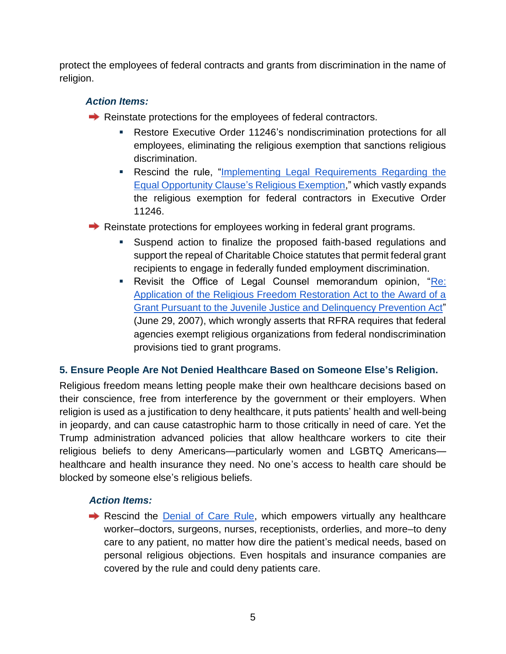protect the employees of federal contracts and grants from discrimination in the name of religion.

## *Action Items:*

- $\rightarrow$  Reinstate protections for the employees of federal contractors.
	- Restore Executive Order 11246's nondiscrimination protections for all employees, eliminating the religious exemption that sanctions religious discrimination.
	- Rescind the rule, ["Implementing Legal Requirements Regarding the](https://www.federalregister.gov/d/2020-26418)  [Equal Opportunity Clause's Religious Exemption,](https://www.federalregister.gov/d/2020-26418)" which vastly expands the religious exemption for federal contractors in Executive Order 11246.
- **→** Reinstate protections for employees working in federal grant programs.
	- Suspend action to finalize the proposed faith-based regulations and support the repeal of Charitable Choice statutes that permit federal grant recipients to engage in federally funded employment discrimination.
	- Revisit the Office of Legal Counsel memorandum opinion, ["Re:](https://www.justice.gov/file/451561/download)  [Application of the Religious Freedom Restoration Act to the Award of a](https://www.justice.gov/file/451561/download)  [Grant Pursuant to the Juvenile Justice and Delinquency Prevention Act"](https://www.justice.gov/file/451561/download) (June 29, 2007), which wrongly asserts that RFRA requires that federal agencies exempt religious organizations from federal nondiscrimination provisions tied to grant programs.

## **5. Ensure People Are Not Denied Healthcare Based on Someone Else's Religion.**

Religious freedom means letting people make their own healthcare decisions based on their conscience, free from interference by the government or their employers. When religion is used as a justification to deny healthcare, it puts patients' health and well-being in jeopardy, and can cause catastrophic harm to those critically in need of care. Yet the Trump administration advanced policies that allow healthcare workers to cite their religious beliefs to deny Americans—particularly women and LGBTQ Americans healthcare and health insurance they need. No one's access to health care should be blocked by someone else's religious beliefs.

## *Action Items:*

Rescind the [Denial of Care Rule,](https://www.federalregister.gov/d/2019-09667) which empowers virtually any healthcare worker–doctors, surgeons, nurses, receptionists, orderlies, and more–to deny care to any patient, no matter how dire the patient's medical needs, based on personal religious objections. Even hospitals and insurance companies are covered by the rule and could deny patients care.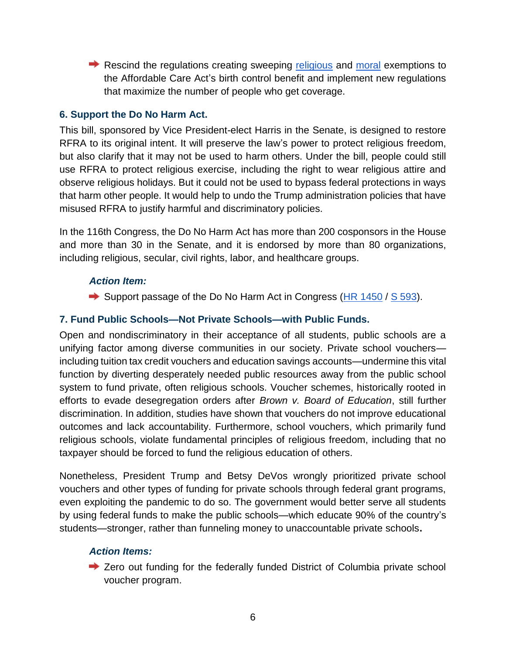Rescind the regulations creating sweeping [religious](https://www.federalregister.gov/d/2018-24512) and [moral](https://www.federalregister.gov/d/2018-24514) exemptions to the Affordable Care Act's birth control benefit and implement new regulations that maximize the number of people who get coverage.

#### **6. Support the Do No Harm Act.**

This bill, sponsored by Vice President-elect Harris in the Senate, is designed to restore RFRA to its original intent. It will preserve the law's power to protect religious freedom, but also clarify that it may not be used to harm others. Under the bill, people could still use RFRA to protect religious exercise, including the right to wear religious attire and observe religious holidays. But it could not be used to bypass federal protections in ways that harm other people. It would help to undo the Trump administration policies that have misused RFRA to justify harmful and discriminatory policies.

In the 116th Congress, the Do No Harm Act has more than 200 cosponsors in the House and more than 30 in the Senate, and it is endorsed by more than 80 organizations, including religious, secular, civil rights, labor, and healthcare groups.

#### *Action Item:*

Support passage of the Do No Harm Act in Congress [\(HR 1450](https://www.congress.gov/116/bills/hr1450/BILLS-116hr1450ih.pdf) / [S 593\)](https://www.congress.gov/116/bills/s593/BILLS-116s593is.pdf).

## **7. Fund Public Schools—Not Private Schools—with Public Funds.**

Open and nondiscriminatory in their acceptance of all students, public schools are a unifying factor among diverse communities in our society. Private school vouchers including tuition tax credit vouchers and education savings accounts—undermine this vital function by diverting desperately needed public resources away from the public school system to fund private, often religious schools. Voucher schemes, historically rooted in efforts to evade desegregation orders after *Brown v. Board of Education*, still further discrimination. In addition, studies have shown that vouchers do not improve educational outcomes and lack accountability. Furthermore, school vouchers, which primarily fund religious schools, violate fundamental principles of religious freedom, including that no taxpayer should be forced to fund the religious education of others.

Nonetheless, President Trump and Betsy DeVos wrongly prioritized private school vouchers and other types of funding for private schools through federal grant programs, even exploiting the pandemic to do so. The government would better serve all students by using federal funds to make the public schools—which educate 90% of the country's students—stronger, rather than funneling money to unaccountable private schools**.** 

## *Action Items:*

**→** Zero out funding for the federally funded District of Columbia private school voucher program.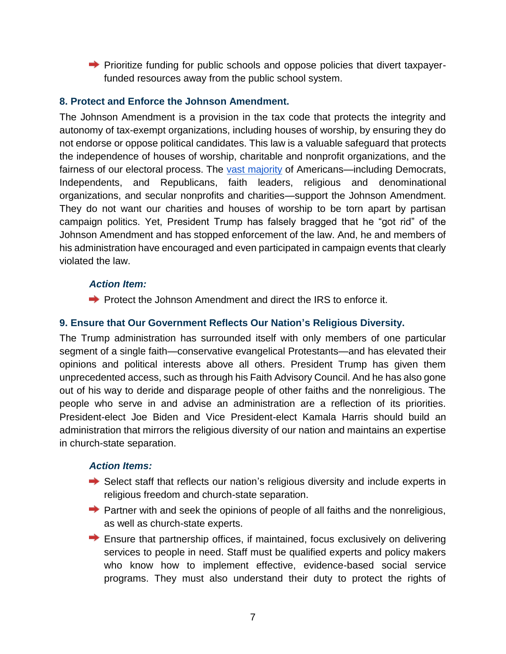$\rightarrow$  Prioritize funding for public schools and oppose policies that divert taxpayerfunded resources away from the public school system.

## **8. Protect and Enforce the Johnson Amendment.**

The Johnson Amendment is a provision in the tax code that protects the integrity and autonomy of tax-exempt organizations, including houses of worship, by ensuring they do not endorse or oppose political candidates. This law is a valuable safeguard that protects the independence of houses of worship, charitable and nonprofit organizations, and the fairness of our electoral process. The [vast majority](http://projectfairplay.org/polls) of Americans—including Democrats, Independents, and Republicans, faith leaders, religious and denominational organizations, and secular nonprofits and charities—support the Johnson Amendment. They do not want our charities and houses of worship to be torn apart by partisan campaign politics. Yet, President Trump has falsely bragged that he "got rid" of the Johnson Amendment and has stopped enforcement of the law. And, he and members of his administration have encouraged and even participated in campaign events that clearly violated the law.

## *Action Item:*

 $\rightarrow$  Protect the Johnson Amendment and direct the IRS to enforce it.

## **9. Ensure that Our Government Reflects Our Nation's Religious Diversity.**

The Trump administration has surrounded itself with only members of one particular segment of a single faith—conservative evangelical Protestants—and has elevated their opinions and political interests above all others. President Trump has given them unprecedented access, such as through his Faith Advisory Council. And he has also gone out of his way to deride and disparage people of other faiths and the nonreligious. The people who serve in and advise an administration are a reflection of its priorities. President-elect Joe Biden and Vice President-elect Kamala Harris should build an administration that mirrors the religious diversity of our nation and maintains an expertise in church-state separation.

## *Action Items:*

- $\rightarrow$  Select staff that reflects our nation's religious diversity and include experts in religious freedom and church-state separation.
- $\rightarrow$  Partner with and seek the opinions of people of all faiths and the nonreligious, as well as church-state experts.
- $\rightarrow$  Ensure that partnership offices, if maintained, focus exclusively on delivering services to people in need. Staff must be qualified experts and policy makers who know how to implement effective, evidence-based social service programs. They must also understand their duty to protect the rights of